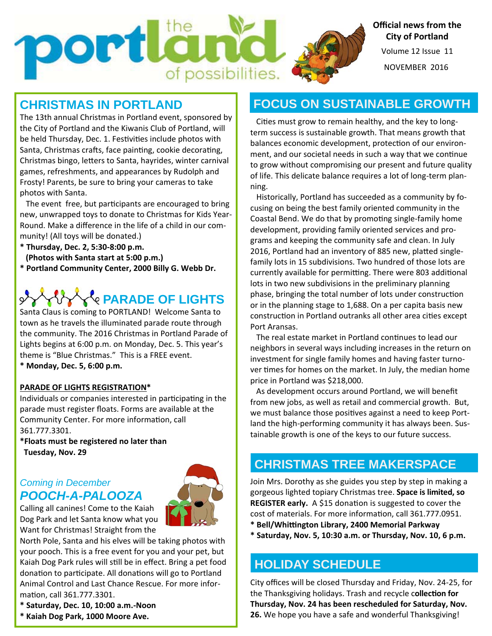Volume 12 Issue 11 **Official news from the City of Portland** 

NOVEMBER 2016

## **CHRISTMAS IN PORTLAND**

portla

The 13th annual Christmas in Portland event, sponsored by the City of Portland and the Kiwanis Club of Portland, will be held Thursday, Dec. 1. Festivities include photos with Santa, Christmas crafts, face painting, cookie decorating, Christmas bingo, letters to Santa, hayrides, winter carnival games, refreshments, and appearances by Rudolph and Frosty! Parents, be sure to bring your cameras to take photos with Santa.

of possibilities.

The event free, but participants are encouraged to bring new, unwrapped toys to donate to Christmas for Kids Year‐ Round. Make a difference in the life of a child in our com‐ munity! (All toys will be donated.)

- **\* Thursday, Dec. 2, 5:30‐8:00 p.m.**
- **(Photos with Santa start at 5:00 p.m.)**
- **\* Portland Community Center, 2000 Billy G. Webb Dr.**

# *C*<sup>*l*</sup>e PARADE OF LIGHTS

Santa Claus is coming to PORTLAND! Welcome Santa to town as he travels the illuminated parade route through the community. The 2016 Christmas in Portland Parade of Lights begins at 6:00 p.m. on Monday, Dec. 5. This year's theme is "Blue Christmas." This is a FREE event.

**\* Monday, Dec. 5, 6:00 p.m.** 

#### **PARADE OF LIGHTS REGISTRATION\***

Individuals or companies interested in participating in the parade must register floats. Forms are available at the Community Center. For more information, call 361.777.3301.

**\*Floats must be registered no later than Tuesday, Nov. 29** 

### *Coming in December POOCH-A-PALOOZA*



Calling all canines! Come to the Kaiah Dog Park and let Santa know what you Want for Christmas! Straight from the

North Pole, Santa and his elves will be taking photos with your pooch. This is a free event for you and your pet, but Kaiah Dog Park rules will still be in effect. Bring a pet food donation to participate. All donations will go to Portland Animal Control and Last Chance Rescue. For more infor‐ mation, call 361.777.3301.

## **FOCUS ON SUSTAINABLE GROWTH**

Cities must grow to remain healthy, and the key to longterm success is sustainable growth. That means growth that balances economic development, protection of our environment, and our societal needs in such a way that we continue to grow without compromising our present and future quality of life. This delicate balance requires a lot of long‐term plan‐ ning.

Historically, Portland has succeeded as a community by focusing on being the best family oriented community in the Coastal Bend. We do that by promoting single-family home development, providing family oriented services and pro‐ grams and keeping the community safe and clean. In July 2016, Portland had an inventory of 885 new, platted singlefamily lots in 15 subdivisions. Two hundred of those lots are currently available for permitting. There were 803 additional lots in two new subdivisions in the preliminary planning phase, bringing the total number of lots under construction or in the planning stage to 1,688. On a per capita basis new construction in Portland outranks all other area cities except Port Aransas.

The real estate market in Portland continues to lead our neighbors in several ways including increases in the return on investment for single family homes and having faster turno‐ ver times for homes on the market. In July, the median home price in Portland was \$218,000.

 As development occurs around Portland, we will benefit from new jobs, as well as retail and commercial growth. But, we must balance those positives against a need to keep Portland the high-performing community it has always been. Sustainable growth is one of the keys to our future success.

## **CHRISTMAS TREE MAKERSPACE**

Join Mrs. Dorothy as she guides you step by step in making a gorgeous lighted topiary Christmas tree. **Space is limited, so REGISTER early.** A \$15 donation is suggested to cover the cost of materials. For more information, call 361.777.0951.

**\* Bell/Whiƫngton Library, 2400 Memorial Parkway** 

**\* Saturday, Nov. 5, 10:30 a.m. or Thursday, Nov. 10, 6 p.m.** 

## **HOLIDAY SCHEDULE**

City offices will be closed Thursday and Friday, Nov. 24‐25, for the Thanksgiving holidays. Trash and recycle collection for **Thursday, Nov. 24 has been rescheduled for Saturday, Nov. 26.** We hope you have a safe and wonderful Thanksgiving!

- **\* Saturday, Dec. 10, 10:00 a.m.‐Noon**
- **\* Kaiah Dog Park, 1000 Moore Ave.**